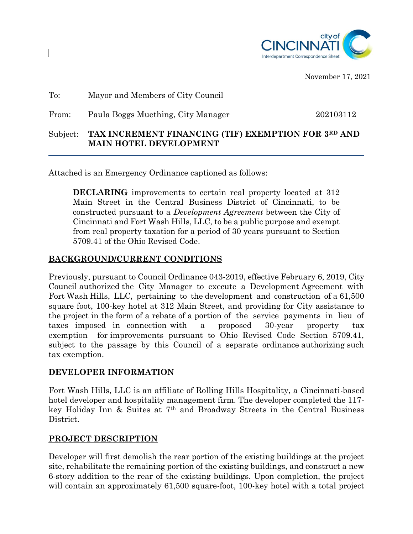

November 17, 2021

| Subject: | TAX INCREMENT FINANCING (TIF) EXEMPTION FOR 3RD AND<br><b>MAIN HOTEL DEVELOPMENT</b> |           |
|----------|--------------------------------------------------------------------------------------|-----------|
| From:    | Paula Boggs Muething, City Manager                                                   | 202103112 |
| To:      | Mayor and Members of City Council                                                    |           |

Attached is an Emergency Ordinance captioned as follows:

**DECLARING** improvements to certain real property located at 312 Main Street in the Central Business District of Cincinnati, to be constructed pursuant to a *Development Agreement* between the City of Cincinnati and Fort Wash Hills, LLC, to be a public purpose and exempt from real property taxation for a period of 30 years pursuant to Section 5709.41 of the Ohio Revised Code.

#### **BACKGROUND/CURRENT CONDITIONS**

Previously, pursuant to Council Ordinance 043-2019, effective February 6, 2019, City Council authorized the City Manager to execute a Development Agreement with Fort Wash Hills, LLC, pertaining to the development and construction of a 61,500 square foot, 100-key hotel at 312 Main Street, and providing for City assistance to the project in the form of a rebate of a portion of the service payments in lieu of taxes imposed in connection with a proposed 30-year property tax exemption for improvements pursuant to Ohio Revised Code Section 5709.41, subject to the passage by this Council of a separate ordinance authorizing such tax exemption.

## **DEVELOPER INFORMATION**

Fort Wash Hills, LLC is an affiliate of Rolling Hills Hospitality, a Cincinnati-based hotel developer and hospitality management firm. The developer completed the 117 key Holiday Inn & Suites at 7th and Broadway Streets in the Central Business District.

## **PROJECT DESCRIPTION**

Developer will first demolish the rear portion of the existing buildings at the project site, rehabilitate the remaining portion of the existing buildings, and construct a new 6-story addition to the rear of the existing buildings. Upon completion, the project will contain an approximately 61,500 square-foot, 100-key hotel with a total project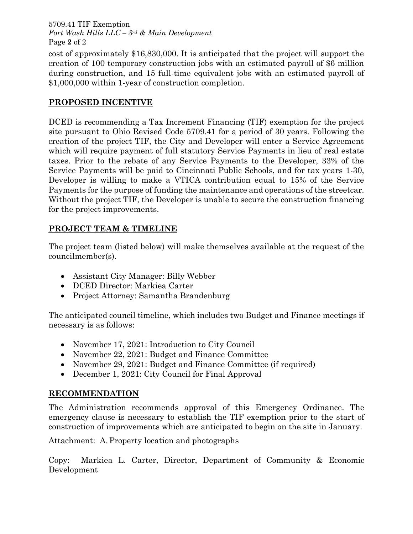5709.41 TIF Exemption *Fort Wash Hills LLC – 3rd & Main Development* Page **2** of 2

cost of approximately \$16,830,000. It is anticipated that the project will support the creation of 100 temporary construction jobs with an estimated payroll of \$6 million during construction, and 15 full-time equivalent jobs with an estimated payroll of \$1,000,000 within 1-year of construction completion.

# **PROPOSED INCENTIVE**

DCED is recommending a Tax Increment Financing (TIF) exemption for the project site pursuant to Ohio Revised Code 5709.41 for a period of 30 years. Following the creation of the project TIF, the City and Developer will enter a Service Agreement which will require payment of full statutory Service Payments in lieu of real estate taxes. Prior to the rebate of any Service Payments to the Developer, 33% of the Service Payments will be paid to Cincinnati Public Schools, and for tax years 1-30, Developer is willing to make a VTICA contribution equal to 15% of the Service Payments for the purpose of funding the maintenance and operations of the streetcar. Without the project TIF, the Developer is unable to secure the construction financing for the project improvements.

# **PROJECT TEAM & TIMELINE**

The project team (listed below) will make themselves available at the request of the councilmember(s).

- Assistant City Manager: Billy Webber
- DCED Director: Markiea Carter
- Project Attorney: Samantha Brandenburg

The anticipated council timeline, which includes two Budget and Finance meetings if necessary is as follows:

- November 17, 2021: Introduction to City Council
- November 22, 2021: Budget and Finance Committee
- November 29, 2021: Budget and Finance Committee (if required)
- December 1, 2021: City Council for Final Approval

## **RECOMMENDATION**

The Administration recommends approval of this Emergency Ordinance. The emergency clause is necessary to establish the TIF exemption prior to the start of construction of improvements which are anticipated to begin on the site in January.

Attachment: A.Property location and photographs

Copy: Markiea L. Carter, Director, Department of Community & Economic Development